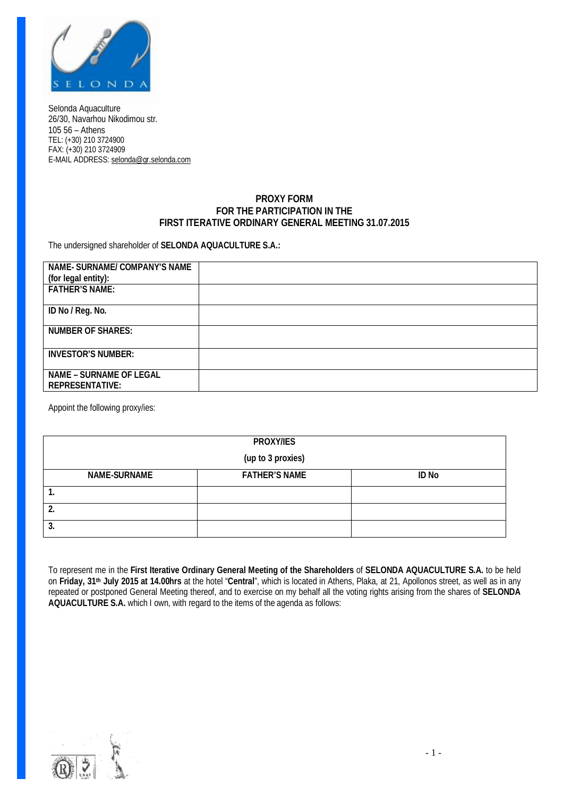

Selonda Aquaculture 26/30, Navarhou Nikodimou str. 105 56 – Athens TEL: (+30) 210 3724900 FAX: (+30) 210 3724909 E-MAIL ADDRESS: [selonda@gr.selonda.com](mailto:selonda@gr.selonda.com)

## **PROXY FORM FOR THE PARTICIPATION IN THE FIRST ITERATIVE ORDINARY GENERAL MEETING 31.07.2015**

The undersigned shareholder of **SELONDA AQUACULTURE S.A.:**

| NAME- SURNAME/ COMPANY'S NAME<br>(for legal entity): |  |
|------------------------------------------------------|--|
| <b>FATHER'S NAME:</b>                                |  |
|                                                      |  |
| ID No / Reg. No.                                     |  |
| <b>NUMBER OF SHARES:</b>                             |  |
| <b>INVESTOR'S NUMBER:</b>                            |  |
| NAME - SURNAME OF LEGAL<br><b>REPRESENTATIVE:</b>    |  |

Appoint the following proxy/ies:

|                   | PROXY/IES            |       |  |  |  |
|-------------------|----------------------|-------|--|--|--|
| (up to 3 proxies) |                      |       |  |  |  |
| NAME-SURNAME      | <b>FATHER'S NAME</b> | ID No |  |  |  |
| . .               |                      |       |  |  |  |
|                   |                      |       |  |  |  |
| 3.                |                      |       |  |  |  |

To represent me in the **First Iterative Ordinary General Meeting of the Shareholders** of **SELONDA AQUACULTURE S.A.** to be held on **Friday, 31th July 2015 at 14.00hrs** at the hotel "**Central**", which is located in Athens, Plaka, at 21, Apollonos street, as well as in any repeated or postponed General Meeting thereof, and to exercise on my behalf all the voting rights arising from the shares of **SELONDA AQUACULTURE S.A.** which I own, with regard to the items of the agenda as follows:

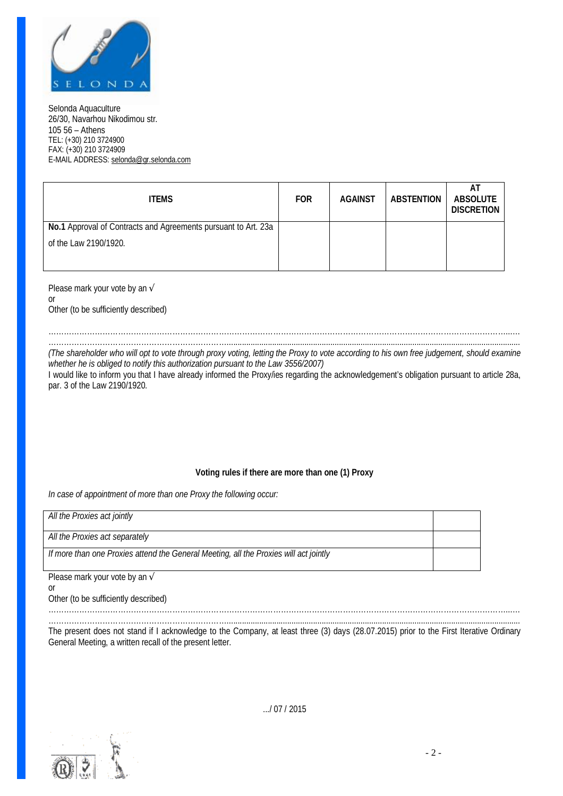

Selonda Aquaculture 26/30, Navarhou Nikodimou str. 105 56 – Athens TEL: (+30) 210 3724900 FAX: (+30) 210 3724909 E-MAIL ADDRESS: [selonda@gr.selonda.com](mailto:selonda@gr.selonda.com)

| <b>ITEMS</b>                                                   | <b>FOR</b> | <b>AGAINST</b> | ABSTENTION | AT<br>ABSOLUTE<br><b>DISCRETION</b> |
|----------------------------------------------------------------|------------|----------------|------------|-------------------------------------|
| No.1 Approval of Contracts and Agreements pursuant to Art. 23a |            |                |            |                                     |
| of the Law 2190/1920.                                          |            |                |            |                                     |
|                                                                |            |                |            |                                     |

Please mark your vote by an √ or Other (to be sufficiently described)

……………………………………………………………………………………………………………………………………………………………...… ……………………………………………………………........................................................................................................................................

(The shareholder who will opt to vote through proxy voting, letting the Proxy to vote according to his own free judgement, should examine *whether he is obliged to notify this authorization pursuant to the Law 3556/2007)* 

I would like to inform you that I have already informed the Proxy/ies regarding the acknowledgement's obligation pursuant to article 28a, par. 3 of the Law 2190/1920.

## **Voting rules if there are more than one (1) Proxy**

*In case of appointment of more than one Proxy the following occur:* 

| All the Proxies act jointly                                                           |  |
|---------------------------------------------------------------------------------------|--|
| All the Proxies act separately                                                        |  |
| If more than one Proxies attend the General Meeting, all the Proxies will act jointly |  |

Please mark your vote by an √

or

Other (to be sufficiently described)

……………………………………………………………………………………………………………………………………………………………...… ……………………………………………………………........................................................................................................................................ The present does not stand if I acknowledge to the Company, at least three (3) days (28.07.2015) prior to the First Iterative Ordinary

General Meeting, a written recall of the present letter.



.../ 07 / 2015